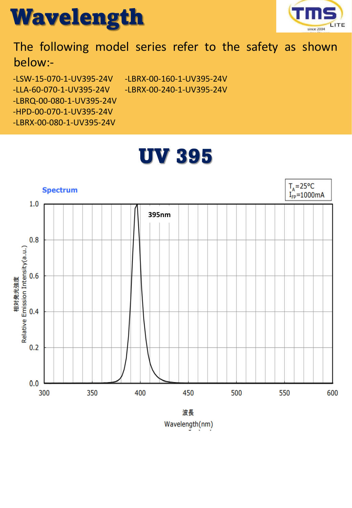



## The following model series refer to the safety as shown below:-

UV 395

-LSW-15-070-1-UV395-24V -LLA-60-070-1-UV395-24V -LBRX-00-160-1-UV395-24V -LBRX-00-240-1-UV395-24V

- -LBRQ-00-080-1-UV395-24V
- -HPD-00-070-1-UV395-24V

-LBRX-00-080-1-UV395-24V



Wavelength(nm)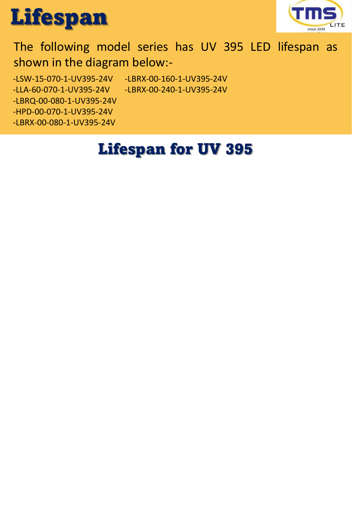



## The following model series has UV 395 LED lifespan as shown in the diagram below:-

-LSW-15-070-1-UV395-24V -LBRX-00-160-1-UV395-24V

- -LLA-60-070-1-UV395-24V -LBRX-00-240-1-UV395-24V
- -LBRQ-00-080-1-UV395-24V
- -HPD-00-070-1-UV395-24V
- -LBRX-00-080-1-UV395-24V

# Lifespan for UV 395